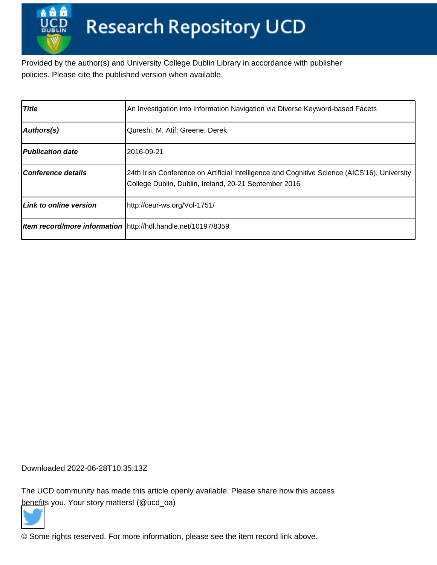Provided by the author(s) and University College Dublin Library in accordance with publisher policies. Please cite the published version when available.

| <b>Title</b>              | An Investigation into Information Navigation via Diverse Keyword-based Facets                                                                         |
|---------------------------|-------------------------------------------------------------------------------------------------------------------------------------------------------|
| Authors(s)                | Qureshi, M. Atif; Greene, Derek                                                                                                                       |
| <b>Publication date</b>   | 2016-09-21                                                                                                                                            |
| <b>Conference details</b> | 24th Irish Conference on Artificial Intelligence and Cognitive Science (AICS'16), University<br>College Dublin, Dublin, Ireland, 20-21 September 2016 |
| Link to online version    | http://ceur-ws.org/Vol-1751/                                                                                                                          |
|                           | Item record/more information http://hdl.handle.net/10197/8359                                                                                         |

Downloaded 2022-06-28T10:35:13Z

The UCD community has made this article openly available. Please share how this access [benefit](https://twitter.com/intent/tweet?via=ucd_oa&text=An+Investigation+into+Information+Nav...&url=http%3A%2F%2Fhdl.handle.net%2F10197%2F8359)s you. Your story matters! (@ucd\_oa)



© Some rights reserved. For more information, please see the item record link above.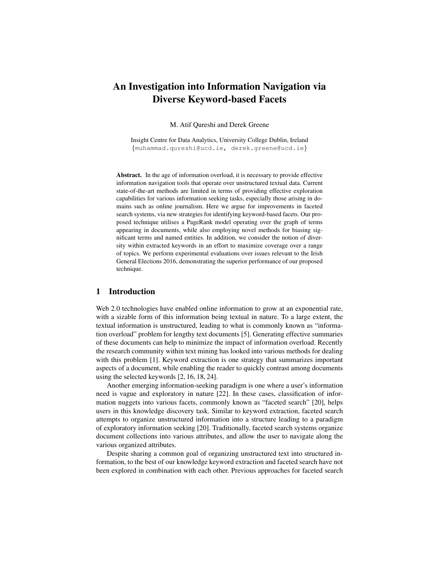# An Investigation into Information Navigation via Diverse Keyword-based Facets

M. Atif Qureshi and Derek Greene

Insight Centre for Data Analytics, University College Dublin, Ireland {muhammad.qureshi@ucd.ie, derek.greene@ucd.ie}

Abstract. In the age of information overload, it is necessary to provide effective information navigation tools that operate over unstructured textual data. Current state-of-the-art methods are limited in terms of providing effective exploration capabilities for various information seeking tasks, especially those arising in domains such as online journalism. Here we argue for improvements in faceted search systems, via new strategies for identifying keyword-based facets. Our proposed technique utilises a PageRank model operating over the graph of terms appearing in documents, while also employing novel methods for biasing significant terms and named entities. In addition, we consider the notion of diversity within extracted keywords in an effort to maximize coverage over a range of topics. We perform experimental evaluations over issues relevant to the Irish General Elections 2016, demonstrating the superior performance of our proposed technique.

## 1 Introduction

Web 2.0 technologies have enabled online information to grow at an exponential rate, with a sizable form of this information being textual in nature. To a large extent, the textual information is unstructured, leading to what is commonly known as "information overload" problem for lengthy text documents [5]. Generating effective summaries of these documents can help to minimize the impact of information overload. Recently the research community within text mining has looked into various methods for dealing with this problem [1]. Keyword extraction is one strategy that summarizes important aspects of a document, while enabling the reader to quickly contrast among documents using the selected keywords [2, 16, 18, 24].

Another emerging information-seeking paradigm is one where a user's information need is vague and exploratory in nature [22]. In these cases, classification of information nuggets into various facets, commonly known as "faceted search" [20], helps users in this knowledge discovery task. Similar to keyword extraction, faceted search attempts to organize unstructured information into a structure leading to a paradigm of exploratory information seeking [20]. Traditionally, faceted search systems organize document collections into various attributes, and allow the user to navigate along the various organized attributes.

Despite sharing a common goal of organizing unstructured text into structured information, to the best of our knowledge keyword extraction and faceted search have not been explored in combination with each other. Previous approaches for faceted search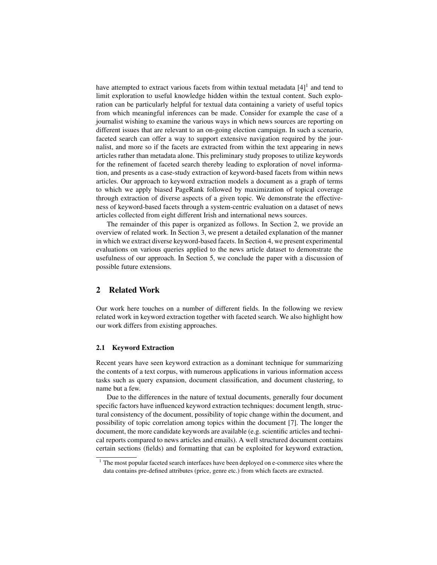have attempted to extract various facets from within textual metadata  $[4]$ <sup>1</sup> and tend to limit exploration to useful knowledge hidden within the textual content. Such exploration can be particularly helpful for textual data containing a variety of useful topics from which meaningful inferences can be made. Consider for example the case of a journalist wishing to examine the various ways in which news sources are reporting on different issues that are relevant to an on-going election campaign. In such a scenario, faceted search can offer a way to support extensive navigation required by the journalist, and more so if the facets are extracted from within the text appearing in news articles rather than metadata alone. This preliminary study proposes to utilize keywords for the refinement of faceted search thereby leading to exploration of novel information, and presents as a case-study extraction of keyword-based facets from within news articles. Our approach to keyword extraction models a document as a graph of terms to which we apply biased PageRank followed by maximization of topical coverage through extraction of diverse aspects of a given topic. We demonstrate the effectiveness of keyword-based facets through a system-centric evaluation on a dataset of news articles collected from eight different Irish and international news sources.

The remainder of this paper is organized as follows. In Section 2, we provide an overview of related work. In Section 3, we present a detailed explanation of the manner in which we extract diverse keyword-based facets. In Section 4, we present experimental evaluations on various queries applied to the news article dataset to demonstrate the usefulness of our approach. In Section 5, we conclude the paper with a discussion of possible future extensions.

# 2 Related Work

Our work here touches on a number of different fields. In the following we review related work in keyword extraction together with faceted search. We also highlight how our work differs from existing approaches.

#### 2.1 Keyword Extraction

Recent years have seen keyword extraction as a dominant technique for summarizing the contents of a text corpus, with numerous applications in various information access tasks such as query expansion, document classification, and document clustering, to name but a few.

Due to the differences in the nature of textual documents, generally four document specific factors have influenced keyword extraction techniques: document length, structural consistency of the document, possibility of topic change within the document, and possibility of topic correlation among topics within the document [7]. The longer the document, the more candidate keywords are available (e.g. scientific articles and technical reports compared to news articles and emails). A well structured document contains certain sections (fields) and formatting that can be exploited for keyword extraction,

<sup>&</sup>lt;sup>1</sup> The most popular faceted search interfaces have been deployed on e-commerce sites where the data contains pre-defined attributes (price, genre etc.) from which facets are extracted.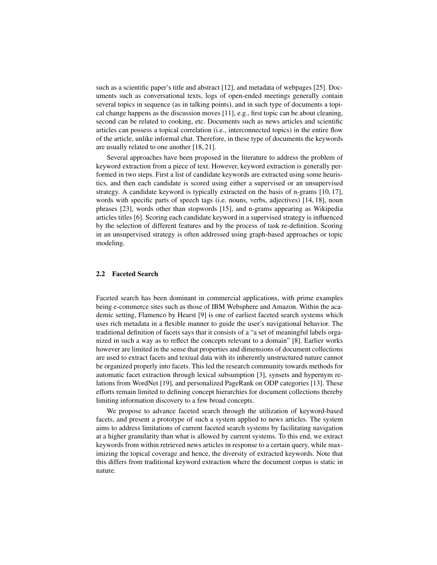such as a scientific paper's title and abstract [12], and metadata of webpages [25]. Documents such as conversational texts, logs of open-ended meetings generally contain several topics in sequence (as in talking points), and in such type of documents a topical change happens as the discussion moves [11], e.g., first topic can be about cleaning, second can be related to cooking, etc. Documents such as news articles and scientific articles can possess a topical correlation (i.e., interconnected topics) in the entire flow of the article, unlike informal chat. Therefore, in these type of documents the keywords are usually related to one another [18, 21].

Several approaches have been proposed in the literature to address the problem of keyword extraction from a piece of text. However, keyword extraction is generally performed in two steps. First a list of candidate keywords are extracted using some heuristics, and then each candidate is scored using either a supervised or an unsupervised strategy. A candidate keyword is typically extracted on the basis of n-grams [10, 17], words with specific parts of speech tags (i.e. nouns, verbs, adjectives) [14, 18], noun phrases [23], words other than stopwords [15], and n-grams appearing as Wikipedia articles titles [6]. Scoring each candidate keyword in a supervised strategy is influenced by the selection of different features and by the process of task re-definition. Scoring in an unsupervised strategy is often addressed using graph-based approaches or topic modeling.

#### 2.2 Faceted Search

Faceted search has been dominant in commercial applications, with prime examples being e-commerce sites such as those of IBM Websphere and Amazon. Within the academic setting, Flamenco by Hearst [9] is one of earliest faceted search systems which uses rich metadata in a flexible manner to guide the user's navigational behavior. The traditional definition of facets says that it consists of a "a set of meaningful labels organized in such a way as to reflect the concepts relevant to a domain" [8]. Earlier works however are limited in the sense that properties and dimensions of document collections are used to extract facets and textual data with its inherently unstructured nature cannot be organized properly into facets. This led the research community towards methods for automatic facet extraction through lexical subsumption [3], synsets and hypernym relations from WordNet [19], and personalized PageRank on ODP categories [13]. These efforts remain limited to defining concept hierarchies for document collections thereby limiting information discovery to a few broad concepts.

We propose to advance faceted search through the utilization of keyword-based facets, and present a prototype of such a system applied to news articles. The system aims to address limitations of current faceted search systems by facilitating navigation at a higher granularity than what is allowed by current systems. To this end, we extract keywords from within retrieved news articles in response to a certain query, while maximizing the topical coverage and hence, the diversity of extracted keywords. Note that this differs from traditional keyword extraction where the document corpus is static in nature.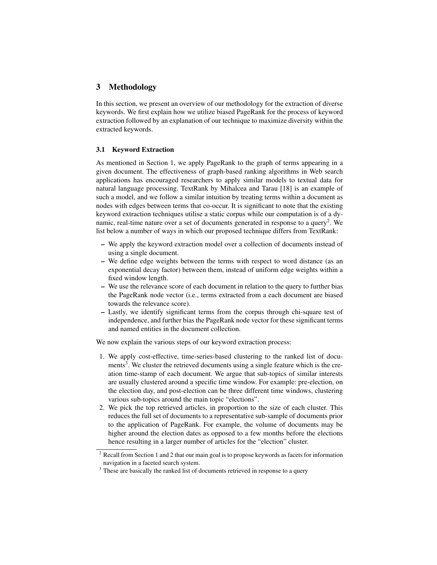# 3 Methodology

In this section, we present an overview of our methodology for the extraction of diverse keywords. We first explain how we utilize biased PageRank for the process of keyword extraction followed by an explanation of our technique to maximize diversity within the extracted keywords.

## 3.1 Keyword Extraction

As mentioned in Section 1, we apply PageRank to the graph of terms appearing in a given document. The effectiveness of graph-based ranking algorithms in Web search applications has encouraged researchers to apply similar models to textual data for natural language processing. TextRank by Mihalcea and Tarau [18] is an example of such a model, and we follow a similar intuition by treating terms within a document as nodes with edges between terms that co-occur. It is significant to note that the existing keyword extraction techniques utilise a static corpus while our computation is of a dynamic, real-time nature over a set of documents generated in response to a query<sup>2</sup>. We list below a number of ways in which our proposed technique differs from TextRank:

- We apply the keyword extraction model over a collection of documents instead of using a single document.
- We define edge weights between the terms with respect to word distance (as an exponential decay factor) between them, instead of uniform edge weights within a fixed window length.
- We use the relevance score of each document in relation to the query to further bias the PageRank node vector (i.e., terms extracted from a each document are biased towards the relevance score).
- Lastly, we identify significant terms from the corpus through chi-square test of independence, and further bias the PageRank node vector for these significant terms and named entities in the document collection.

We now explain the various steps of our keyword extraction process:

- 1. We apply cost-effective, time-series-based clustering to the ranked list of documents<sup>3</sup>. We cluster the retrieved documents using a single feature which is the creation time-stamp of each document. We argue that sub-topics of similar interests are usually clustered around a specific time window. For example: pre-election, on the election day, and post-election can be three different time windows, clustering various sub-topics around the main topic "elections".
- 2. We pick the top retrieved articles, in proportion to the size of each cluster. This reduces the full set of documents to a representative sub-sample of documents prior to the application of PageRank. For example, the volume of documents may be higher around the election dates as opposed to a few months before the elections hence resulting in a larger number of articles for the "election" cluster.

<sup>&</sup>lt;sup>2</sup> Recall from Section 1 and 2 that our main goal is to propose keywords as facets for information navigation in a faceted search system.

<sup>&</sup>lt;sup>3</sup> These are basically the ranked list of documents retrieved in response to a query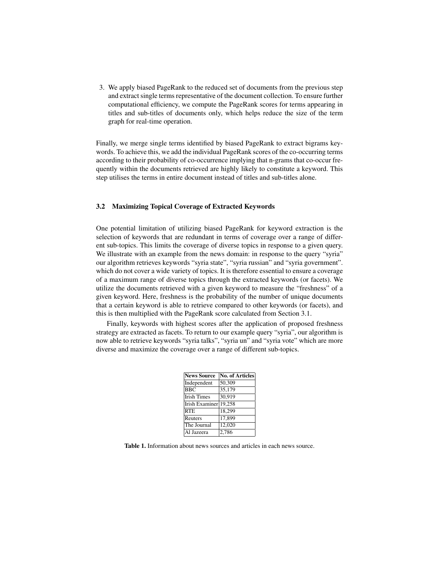3. We apply biased PageRank to the reduced set of documents from the previous step and extract single terms representative of the document collection. To ensure further computational efficiency, we compute the PageRank scores for terms appearing in titles and sub-titles of documents only, which helps reduce the size of the term graph for real-time operation.

Finally, we merge single terms identified by biased PageRank to extract bigrams keywords. To achieve this, we add the individual PageRank scores of the co-occurring terms according to their probability of co-occurrence implying that n-grams that co-occur frequently within the documents retrieved are highly likely to constitute a keyword. This step utilises the terms in entire document instead of titles and sub-titles alone.

## 3.2 Maximizing Topical Coverage of Extracted Keywords

One potential limitation of utilizing biased PageRank for keyword extraction is the selection of keywords that are redundant in terms of coverage over a range of different sub-topics. This limits the coverage of diverse topics in response to a given query. We illustrate with an example from the news domain: in response to the query "syria" our algorithm retrieves keywords "syria state", "syria russian" and "syria government". which do not cover a wide variety of topics. It is therefore essential to ensure a coverage of a maximum range of diverse topics through the extracted keywords (or facets). We utilize the documents retrieved with a given keyword to measure the "freshness" of a given keyword. Here, freshness is the probability of the number of unique documents that a certain keyword is able to retrieve compared to other keywords (or facets), and this is then multiplied with the PageRank score calculated from Section 3.1.

Finally, keywords with highest scores after the application of proposed freshness strategy are extracted as facets. To return to our example query "syria", our algorithm is now able to retrieve keywords "syria talks", "syria un" and "syria vote" which are more diverse and maximize the coverage over a range of different sub-topics.

| <b>News Source</b> | No. of Articles |
|--------------------|-----------------|
| Independent        | 50,309          |
| <b>BBC</b>         | 35,179          |
| <b>Irish Times</b> | 30,919          |
| Irish Examiner     | 19.258          |
| <b>RTE</b>         | 18,299          |
| Reuters            | 17,899          |
| The Journal        | 12,020          |
| Al Jazeera         | 2,786           |

Table 1. Information about news sources and articles in each news source.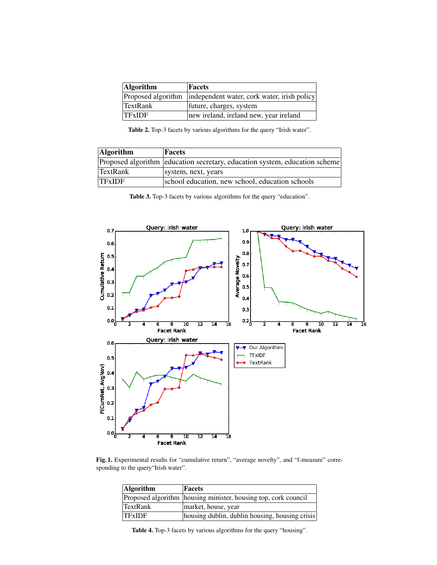| <b>Algorithm</b> | Facets                                                         |
|------------------|----------------------------------------------------------------|
|                  | Proposed algorithm independent water, cork water, irish policy |
| TextRank         | future, charges, system                                        |
| <b>TFxIDF</b>    | new ireland, ireland new, year ireland                         |

Table 2. Top-3 facets by various algorithms for the query "Irish water".

| <b>Algorithm</b> | Facets                                                                     |
|------------------|----------------------------------------------------------------------------|
|                  | Proposed algorithm education secretary, education system, education scheme |
| <b>TextRank</b>  | system, next, years                                                        |
| <b>TFxIDF</b>    | school education, new school, education schools                            |

Table 3. Top-3 facets by various algorithms for the query "education".



Fig. 1. Experimental results for "cumulative return", "average novelty", and "f-measure" corresponding to the query"Irish water".

| <b>Algorithm</b> | Facets                                                         |
|------------------|----------------------------------------------------------------|
|                  | Proposed algorithm housing minister, housing top, cork council |
| <b>TextRank</b>  | market, house, year                                            |
| TFxIDF           | housing dublin, dublin housing, housing crisis                 |

Table 4. Top-3 facets by various algorithms for the query "housing".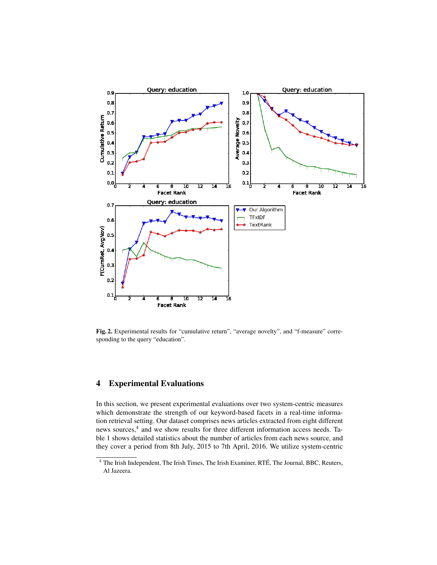

Fig. 2. Experimental results for "cumulative return", "average novelty", and "f-measure" corresponding to the query "education".

## 4 Experimental Evaluations

In this section, we present experimental evaluations over two system-centric measures which demonstrate the strength of our keyword-based facets in a real-time information retrieval setting. Our dataset comprises news articles extracted from eight different news sources,<sup>4</sup> and we show results for three different information access needs. Table 1 shows detailed statistics about the number of articles from each news source, and they cover a period from 8th July, 2015 to 7th April, 2016. We utilize system-centric

<sup>&</sup>lt;sup>4</sup> The Irish Independent, The Irish Times, The Irish Examiner, RTÉ, The Journal, BBC, Reuters, Al Jazeera.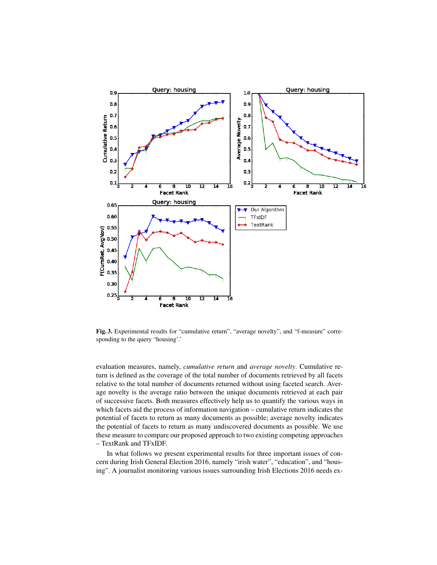

Fig. 3. Experimental results for "cumulative return", "average novelty", and "f-measure" corresponding to the query "housing'.'

evaluation measures, namely, *cumulative return* and *average novelty*. Cumulative return is defined as the coverage of the total number of documents retrieved by all facets relative to the total number of documents returned without using faceted search. Average novelty is the average ratio between the unique documents retrieved at each pair of successive facets. Both measures effectively help us to quantify the various ways in which facets aid the process of information navigation – cumulative return indicates the potential of facets to return as many documents as possible; average novelty indicates the potential of facets to return as many undiscovered documents as possible. We use these measure to compare our proposed approach to two existing competing approaches – TextRank and TFxIDF.

In what follows we present experimental results for three important issues of concern during Irish General Election 2016, namely "irish water", "education", and "housing". A journalist monitoring various issues surrounding Irish Elections 2016 needs ex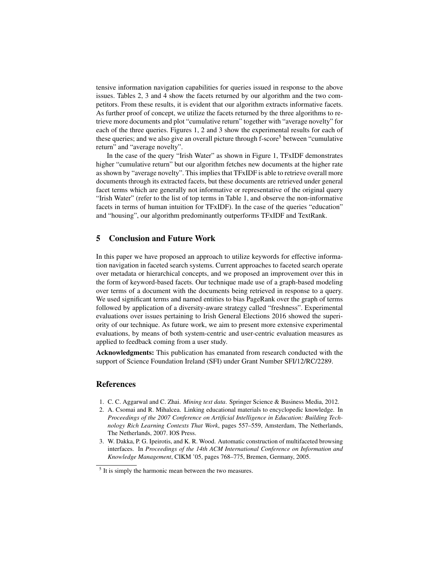tensive information navigation capabilities for queries issued in response to the above issues. Tables 2, 3 and 4 show the facets returned by our algorithm and the two competitors. From these results, it is evident that our algorithm extracts informative facets. As further proof of concept, we utilize the facets returned by the three algorithms to retrieve more documents and plot "cumulative return" together with "average novelty" for each of the three queries. Figures 1, 2 and 3 show the experimental results for each of these queries; and we also give an overall picture through f-score<sup>5</sup> between "cumulative" return" and "average novelty".

In the case of the query "Irish Water" as shown in Figure 1, TFxIDF demonstrates higher "cumulative return" but our algorithm fetches new documents at the higher rate as shown by "average novelty". This implies that TFxIDF is able to retrieve overall more documents through its extracted facets, but these documents are retrieved under general facet terms which are generally not informative or representative of the original query "Irish Water" (refer to the list of top terms in Table 1, and observe the non-informative facets in terms of human intuition for TFxIDF). In the case of the queries "education" and "housing", our algorithm predominantly outperforms TFxIDF and TextRank.

## 5 Conclusion and Future Work

In this paper we have proposed an approach to utilize keywords for effective information navigation in faceted search systems. Current approaches to faceted search operate over metadata or hierarchical concepts, and we proposed an improvement over this in the form of keyword-based facets. Our technique made use of a graph-based modeling over terms of a document with the documents being retrieved in response to a query. We used significant terms and named entities to bias PageRank over the graph of terms followed by application of a diversity-aware strategy called "freshness". Experimental evaluations over issues pertaining to Irish General Elections 2016 showed the superiority of our technique. As future work, we aim to present more extensive experimental evaluations, by means of both system-centric and user-centric evaluation measures as applied to feedback coming from a user study.

Acknowledgments: This publication has emanated from research conducted with the support of Science Foundation Ireland (SFI) under Grant Number SFI/12/RC/2289.

## References

- 1. C. C. Aggarwal and C. Zhai. *Mining text data*. Springer Science & Business Media, 2012.
- 2. A. Csomai and R. Mihalcea. Linking educational materials to encyclopedic knowledge. In *Proceedings of the 2007 Conference on Artificial Intelligence in Education: Building Technology Rich Learning Contexts That Work*, pages 557–559, Amsterdam, The Netherlands, The Netherlands, 2007. IOS Press.
- 3. W. Dakka, P. G. Ipeirotis, and K. R. Wood. Automatic construction of multifaceted browsing interfaces. In *Proceedings of the 14th ACM International Conference on Information and Knowledge Management*, CIKM '05, pages 768–775, Bremen, Germany, 2005.

<sup>&</sup>lt;sup>5</sup> It is simply the harmonic mean between the two measures.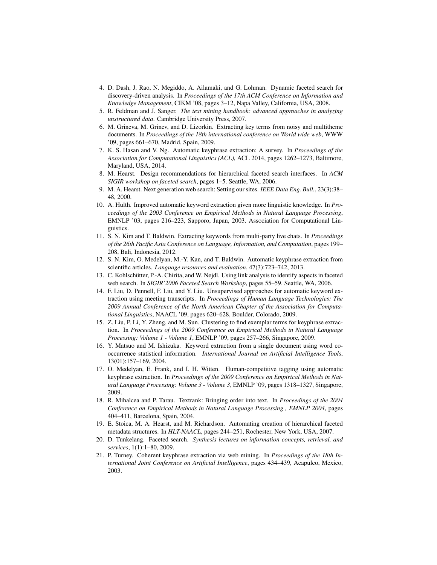- 4. D. Dash, J. Rao, N. Megiddo, A. Ailamaki, and G. Lohman. Dynamic faceted search for discovery-driven analysis. In *Proceedings of the 17th ACM Conference on Information and Knowledge Management*, CIKM '08, pages 3–12, Napa Valley, California, USA, 2008.
- 5. R. Feldman and J. Sanger. *The text mining handbook: advanced approaches in analyzing unstructured data*. Cambridge University Press, 2007.
- 6. M. Grineva, M. Grinev, and D. Lizorkin. Extracting key terms from noisy and multitheme documents. In *Proceedings of the 18th international conference on World wide web*, WWW '09, pages 661–670, Madrid, Spain, 2009.
- 7. K. S. Hasan and V. Ng. Automatic keyphrase extraction: A survey. In *Proceedings of the Association for Computational Linguistics (ACL)*, ACL 2014, pages 1262–1273, Baltimore, Maryland, USA, 2014.
- 8. M. Hearst. Design recommendations for hierarchical faceted search interfaces. In *ACM SIGIR workshop on faceted search*, pages 1–5. Seattle, WA, 2006.
- 9. M. A. Hearst. Next generation web search: Setting our sites. *IEEE Data Eng. Bull.*, 23(3):38– 48, 2000.
- 10. A. Hulth. Improved automatic keyword extraction given more linguistic knowledge. In *Proceedings of the 2003 Conference on Empirical Methods in Natural Language Processing*, EMNLP '03, pages 216–223, Sapporo, Japan, 2003. Association for Computational Linguistics.
- 11. S. N. Kim and T. Baldwin. Extracting keywords from multi-party live chats. In *Proceedings of the 26th Pacific Asia Conference on Language, Information, and Computation*, pages 199– 208, Bali, Indonesia, 2012.
- 12. S. N. Kim, O. Medelyan, M.-Y. Kan, and T. Baldwin. Automatic keyphrase extraction from scientific articles. *Language resources and evaluation*, 47(3):723–742, 2013.
- 13. C. Kohlschutter, P.-A. Chirita, and W. Nejdl. Using link analysis to identify aspects in faceted ¨ web search. In *SIGIR'2006 Faceted Search Workshop*, pages 55–59. Seattle, WA, 2006.
- 14. F. Liu, D. Pennell, F. Liu, and Y. Liu. Unsupervised approaches for automatic keyword extraction using meeting transcripts. In *Proceedings of Human Language Technologies: The 2009 Annual Conference of the North American Chapter of the Association for Computational Linguistics*, NAACL '09, pages 620–628, Boulder, Colorado, 2009.
- 15. Z. Liu, P. Li, Y. Zheng, and M. Sun. Clustering to find exemplar terms for keyphrase extraction. In *Proceedings of the 2009 Conference on Empirical Methods in Natural Language Processing: Volume 1 - Volume 1*, EMNLP '09, pages 257–266, Singapore, 2009.
- 16. Y. Matsuo and M. Ishizuka. Keyword extraction from a single document using word cooccurrence statistical information. *International Journal on Artificial Intelligence Tools*, 13(01):157–169, 2004.
- 17. O. Medelyan, E. Frank, and I. H. Witten. Human-competitive tagging using automatic keyphrase extraction. In *Proceedings of the 2009 Conference on Empirical Methods in Natural Language Processing: Volume 3 - Volume 3*, EMNLP '09, pages 1318–1327, Singapore, 2009.
- 18. R. Mihalcea and P. Tarau. Textrank: Bringing order into text. In *Proceedings of the 2004 Conference on Empirical Methods in Natural Language Processing , EMNLP 2004*, pages 404–411, Barcelona, Spain, 2004.
- 19. E. Stoica, M. A. Hearst, and M. Richardson. Automating creation of hierarchical faceted metadata structures. In *HLT-NAACL*, pages 244–251, Rochester, New York, USA, 2007.
- 20. D. Tunkelang. Faceted search. *Synthesis lectures on information concepts, retrieval, and services*, 1(1):1–80, 2009.
- 21. P. Turney. Coherent keyphrase extraction via web mining. In *Proceedings of the 18th International Joint Conference on Artificial Intelligence*, pages 434–439, Acapulco, Mexico, 2003.